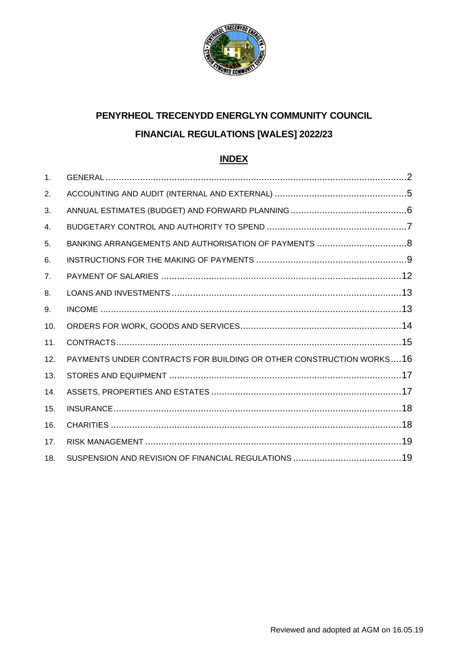

# **PENYRHEOL TRECENYDD ENERGLYN COMMUNITY COUNCIL FINANCIAL REGULATIONS [WALES] 2022/23**

## **INDEX**

| $\mathbf{1}$ . |                                                                     |  |
|----------------|---------------------------------------------------------------------|--|
| 2.             |                                                                     |  |
| 3.             |                                                                     |  |
| 4.             |                                                                     |  |
| 5.             |                                                                     |  |
| 6.             |                                                                     |  |
| 7 <sub>1</sub> |                                                                     |  |
| 8.             |                                                                     |  |
| 9.             |                                                                     |  |
| 10.            |                                                                     |  |
| 11.            |                                                                     |  |
| 12.            | PAYMENTS UNDER CONTRACTS FOR BUILDING OR OTHER CONSTRUCTION WORKS16 |  |
| 13.            |                                                                     |  |
| 14.            |                                                                     |  |
| 15.            |                                                                     |  |
| 16.            |                                                                     |  |
| 17.            |                                                                     |  |
| 18.            |                                                                     |  |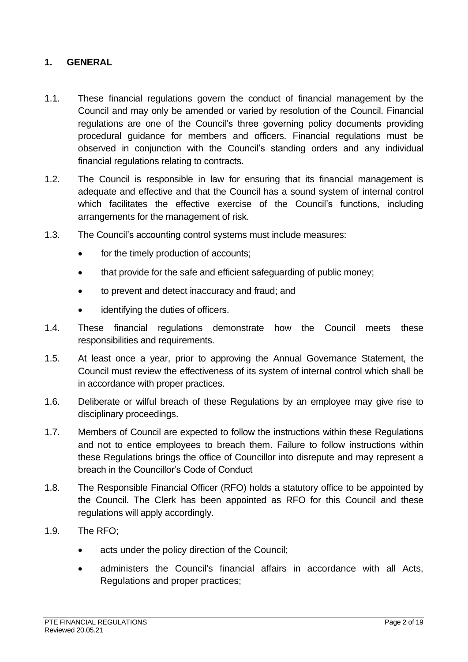#### <span id="page-1-0"></span>**1. GENERAL**

- 1.1. These financial regulations govern the conduct of financial management by the Council and may only be amended or varied by resolution of the Council. Financial regulations are one of the Council's three governing policy documents providing procedural guidance for members and officers. Financial regulations must be observed in conjunction with the Council's standing orders and any individual financial regulations relating to contracts.
- 1.2. The Council is responsible in law for ensuring that its financial management is adequate and effective and that the Council has a sound system of internal control which facilitates the effective exercise of the Council's functions, including arrangements for the management of risk.
- 1.3. The Council's accounting control systems must include measures:
	- for the timely production of accounts;
	- that provide for the safe and efficient safeguarding of public money:
	- to prevent and detect inaccuracy and fraud; and
	- identifying the duties of officers.
- 1.4. These financial regulations demonstrate how the Council meets these responsibilities and requirements.
- 1.5. At least once a year, prior to approving the Annual Governance Statement, the Council must review the effectiveness of its system of internal control which shall be in accordance with proper practices.
- 1.6. Deliberate or wilful breach of these Regulations by an employee may give rise to disciplinary proceedings.
- 1.7. Members of Council are expected to follow the instructions within these Regulations and not to entice employees to breach them. Failure to follow instructions within these Regulations brings the office of Councillor into disrepute and may represent a breach in the Councillor's Code of Conduct
- 1.8. The Responsible Financial Officer (RFO) holds a statutory office to be appointed by the Council. The Clerk has been appointed as RFO for this Council and these regulations will apply accordingly.
- 1.9. The RFO;
	- acts under the policy direction of the Council;
	- administers the Council's financial affairs in accordance with all Acts, Regulations and proper practices;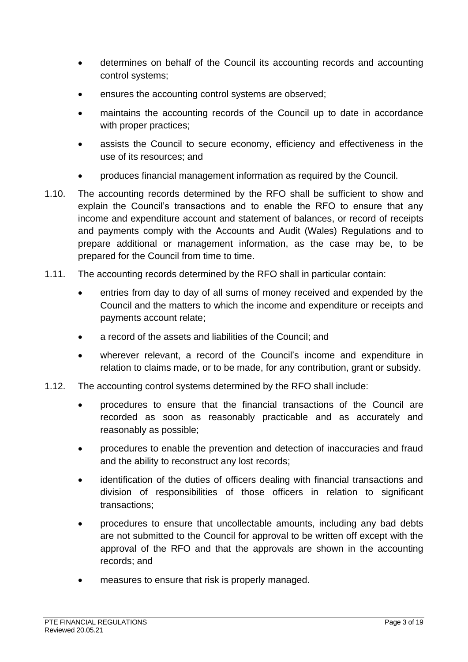- determines on behalf of the Council its accounting records and accounting control systems;
- ensures the accounting control systems are observed;
- maintains the accounting records of the Council up to date in accordance with proper practices;
- assists the Council to secure economy, efficiency and effectiveness in the use of its resources; and
- produces financial management information as required by the Council.
- 1.10. The accounting records determined by the RFO shall be sufficient to show and explain the Council's transactions and to enable the RFO to ensure that any income and expenditure account and statement of balances, or record of receipts and payments comply with the Accounts and Audit (Wales) Regulations and to prepare additional or management information, as the case may be, to be prepared for the Council from time to time.
- 1.11. The accounting records determined by the RFO shall in particular contain:
	- entries from day to day of all sums of money received and expended by the Council and the matters to which the income and expenditure or receipts and payments account relate;
	- a record of the assets and liabilities of the Council; and
	- wherever relevant, a record of the Council's income and expenditure in relation to claims made, or to be made, for any contribution, grant or subsidy.
- 1.12. The accounting control systems determined by the RFO shall include:
	- procedures to ensure that the financial transactions of the Council are recorded as soon as reasonably practicable and as accurately and reasonably as possible;
	- procedures to enable the prevention and detection of inaccuracies and fraud and the ability to reconstruct any lost records;
	- identification of the duties of officers dealing with financial transactions and division of responsibilities of those officers in relation to significant transactions;
	- procedures to ensure that uncollectable amounts, including any bad debts are not submitted to the Council for approval to be written off except with the approval of the RFO and that the approvals are shown in the accounting records; and
	- measures to ensure that risk is properly managed.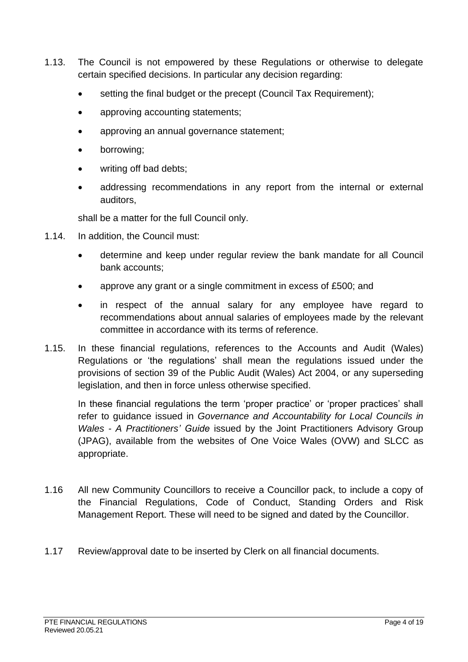- 1.13. The Council is not empowered by these Regulations or otherwise to delegate certain specified decisions. In particular any decision regarding:
	- setting the final budget or the precept (Council Tax Requirement);
	- approving accounting statements;
	- approving an annual governance statement;
	- borrowing;
	- writing off bad debts;
	- addressing recommendations in any report from the internal or external auditors,

shall be a matter for the full Council only.

- 1.14. In addition, the Council must:
	- determine and keep under regular review the bank mandate for all Council bank accounts;
	- approve any grant or a single commitment in excess of £500; and
	- in respect of the annual salary for any employee have regard to recommendations about annual salaries of employees made by the relevant committee in accordance with its terms of reference.
- 1.15. In these financial regulations, references to the Accounts and Audit (Wales) Regulations or 'the regulations' shall mean the regulations issued under the provisions of section 39 of the Public Audit (Wales) Act 2004, or any superseding legislation, and then in force unless otherwise specified.

In these financial regulations the term 'proper practice' or 'proper practices' shall refer to guidance issued in *Governance and Accountability for Local Councils in Wales - A Practitioners' Guide* issued by the Joint Practitioners Advisory Group (JPAG), available from the websites of One Voice Wales (OVW) and SLCC as appropriate.

- 1.16 All new Community Councillors to receive a Councillor pack, to include a copy of the Financial Regulations, Code of Conduct, Standing Orders and Risk Management Report. These will need to be signed and dated by the Councillor.
- <span id="page-3-0"></span>1.17 Review/approval date to be inserted by Clerk on all financial documents.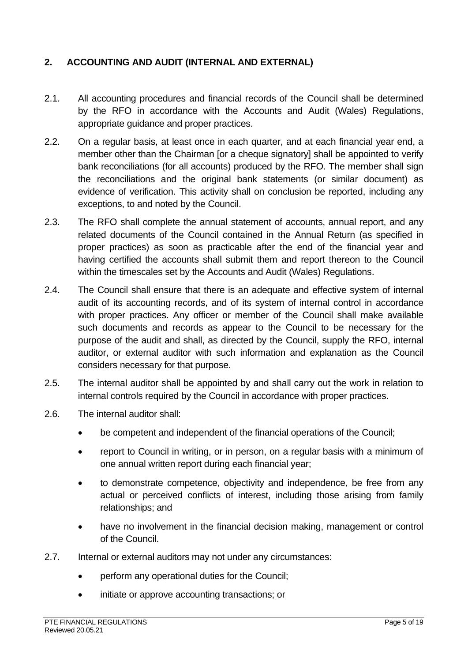## **2. ACCOUNTING AND AUDIT (INTERNAL AND EXTERNAL)**

- 2.1. All accounting procedures and financial records of the Council shall be determined by the RFO in accordance with the Accounts and Audit (Wales) Regulations, appropriate guidance and proper practices.
- 2.2. On a regular basis, at least once in each quarter, and at each financial year end, a member other than the Chairman [or a cheque signatory] shall be appointed to verify bank reconciliations (for all accounts) produced by the RFO. The member shall sign the reconciliations and the original bank statements (or similar document) as evidence of verification. This activity shall on conclusion be reported, including any exceptions, to and noted by the Council.
- 2.3. The RFO shall complete the annual statement of accounts, annual report, and any related documents of the Council contained in the Annual Return (as specified in proper practices) as soon as practicable after the end of the financial year and having certified the accounts shall submit them and report thereon to the Council within the timescales set by the Accounts and Audit (Wales) Regulations.
- 2.4. The Council shall ensure that there is an adequate and effective system of internal audit of its accounting records, and of its system of internal control in accordance with proper practices. Any officer or member of the Council shall make available such documents and records as appear to the Council to be necessary for the purpose of the audit and shall, as directed by the Council, supply the RFO, internal auditor, or external auditor with such information and explanation as the Council considers necessary for that purpose.
- 2.5. The internal auditor shall be appointed by and shall carry out the work in relation to internal controls required by the Council in accordance with proper practices.
- 2.6. The internal auditor shall:
	- be competent and independent of the financial operations of the Council;
	- report to Council in writing, or in person, on a regular basis with a minimum of one annual written report during each financial year;
	- to demonstrate competence, objectivity and independence, be free from any actual or perceived conflicts of interest, including those arising from family relationships; and
	- have no involvement in the financial decision making, management or control of the Council.
- 2.7. Internal or external auditors may not under any circumstances:
	- perform any operational duties for the Council;
	- initiate or approve accounting transactions; or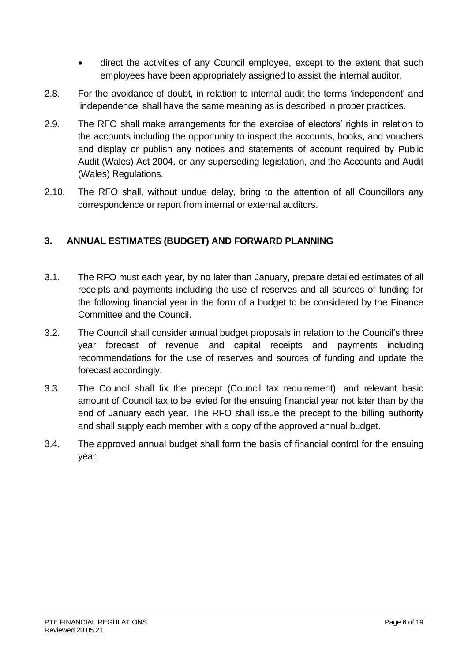- direct the activities of any Council employee, except to the extent that such employees have been appropriately assigned to assist the internal auditor.
- 2.8. For the avoidance of doubt, in relation to internal audit the terms 'independent' and 'independence' shall have the same meaning as is described in proper practices.
- 2.9. The RFO shall make arrangements for the exercise of electors' rights in relation to the accounts including the opportunity to inspect the accounts, books, and vouchers and display or publish any notices and statements of account required by Public Audit (Wales) Act 2004, or any superseding legislation, and the Accounts and Audit (Wales) Regulations.
- 2.10. The RFO shall, without undue delay, bring to the attention of all Councillors any correspondence or report from internal or external auditors.

#### <span id="page-5-0"></span>**3. ANNUAL ESTIMATES (BUDGET) AND FORWARD PLANNING**

- 3.1. The RFO must each year, by no later than January, prepare detailed estimates of all receipts and payments including the use of reserves and all sources of funding for the following financial year in the form of a budget to be considered by the Finance Committee and the Council.
- 3.2. The Council shall consider annual budget proposals in relation to the Council's three year forecast of revenue and capital receipts and payments including recommendations for the use of reserves and sources of funding and update the forecast accordingly.
- 3.3. The Council shall fix the precept (Council tax requirement), and relevant basic amount of Council tax to be levied for the ensuing financial year not later than by the end of January each year. The RFO shall issue the precept to the billing authority and shall supply each member with a copy of the approved annual budget.
- <span id="page-5-1"></span>3.4. The approved annual budget shall form the basis of financial control for the ensuing year.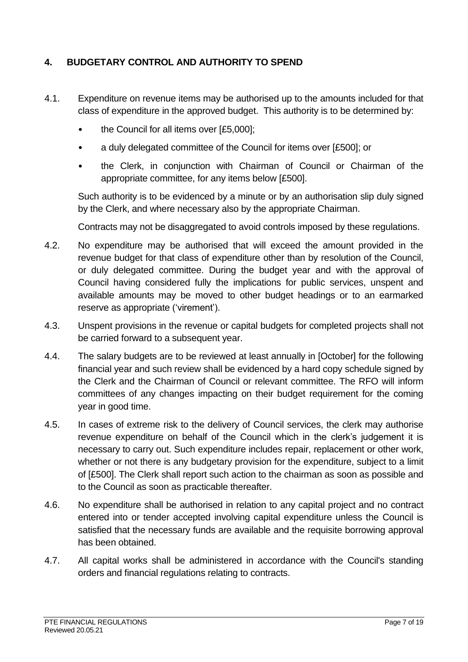## **4. BUDGETARY CONTROL AND AUTHORITY TO SPEND**

- 4.1. Expenditure on revenue items may be authorised up to the amounts included for that class of expenditure in the approved budget. This authority is to be determined by:
	- the Council for all items over [£5,000];
	- a duly delegated committee of the Council for items over [£500]; or
	- the Clerk, in conjunction with Chairman of Council or Chairman of the appropriate committee, for any items below [£500].

Such authority is to be evidenced by a minute or by an authorisation slip duly signed by the Clerk, and where necessary also by the appropriate Chairman.

Contracts may not be disaggregated to avoid controls imposed by these regulations.

- 4.2. No expenditure may be authorised that will exceed the amount provided in the revenue budget for that class of expenditure other than by resolution of the Council, or duly delegated committee. During the budget year and with the approval of Council having considered fully the implications for public services, unspent and available amounts may be moved to other budget headings or to an earmarked reserve as appropriate ('virement').
- 4.3. Unspent provisions in the revenue or capital budgets for completed projects shall not be carried forward to a subsequent year.
- 4.4. The salary budgets are to be reviewed at least annually in [October] for the following financial year and such review shall be evidenced by a hard copy schedule signed by the Clerk and the Chairman of Council or relevant committee. The RFO will inform committees of any changes impacting on their budget requirement for the coming year in good time.
- 4.5. In cases of extreme risk to the delivery of Council services, the clerk may authorise revenue expenditure on behalf of the Council which in the clerk's judgement it is necessary to carry out. Such expenditure includes repair, replacement or other work, whether or not there is any budgetary provision for the expenditure, subject to a limit of [£500]. The Clerk shall report such action to the chairman as soon as possible and to the Council as soon as practicable thereafter.
- 4.6. No expenditure shall be authorised in relation to any capital project and no contract entered into or tender accepted involving capital expenditure unless the Council is satisfied that the necessary funds are available and the requisite borrowing approval has been obtained.
- 4.7. All capital works shall be administered in accordance with the Council's standing orders and financial regulations relating to contracts.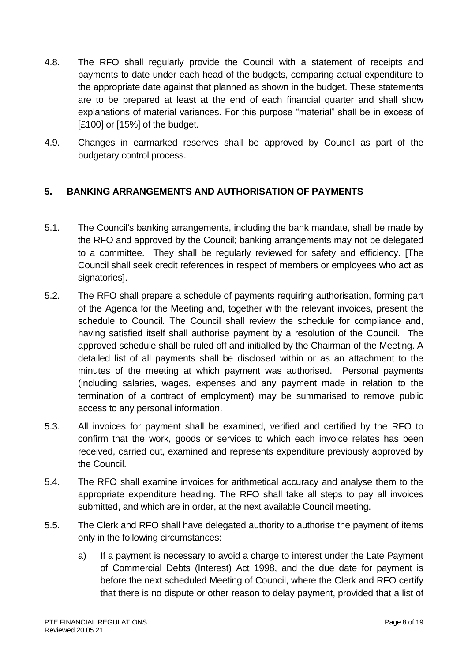- 4.8. The RFO shall regularly provide the Council with a statement of receipts and payments to date under each head of the budgets, comparing actual expenditure to the appropriate date against that planned as shown in the budget. These statements are to be prepared at least at the end of each financial quarter and shall show explanations of material variances. For this purpose "material" shall be in excess of [£100] or [15%] of the budget.
- 4.9. Changes in earmarked reserves shall be approved by Council as part of the budgetary control process.

## <span id="page-7-0"></span>**5. BANKING ARRANGEMENTS AND AUTHORISATION OF PAYMENTS**

- 5.1. The Council's banking arrangements, including the bank mandate, shall be made by the RFO and approved by the Council; banking arrangements may not be delegated to a committee. They shall be regularly reviewed for safety and efficiency. [The Council shall seek credit references in respect of members or employees who act as signatories].
- 5.2. The RFO shall prepare a schedule of payments requiring authorisation, forming part of the Agenda for the Meeting and, together with the relevant invoices, present the schedule to Council. The Council shall review the schedule for compliance and, having satisfied itself shall authorise payment by a resolution of the Council. The approved schedule shall be ruled off and initialled by the Chairman of the Meeting. A detailed list of all payments shall be disclosed within or as an attachment to the minutes of the meeting at which payment was authorised. Personal payments (including salaries, wages, expenses and any payment made in relation to the termination of a contract of employment) may be summarised to remove public access to any personal information.
- 5.3. All invoices for payment shall be examined, verified and certified by the RFO to confirm that the work, goods or services to which each invoice relates has been received, carried out, examined and represents expenditure previously approved by the Council.
- 5.4. The RFO shall examine invoices for arithmetical accuracy and analyse them to the appropriate expenditure heading. The RFO shall take all steps to pay all invoices submitted, and which are in order, at the next available Council meeting.
- 5.5. The Clerk and RFO shall have delegated authority to authorise the payment of items only in the following circumstances:
	- a) If a payment is necessary to avoid a charge to interest under the Late Payment of Commercial Debts (Interest) Act 1998, and the due date for payment is before the next scheduled Meeting of Council, where the Clerk and RFO certify that there is no dispute or other reason to delay payment, provided that a list of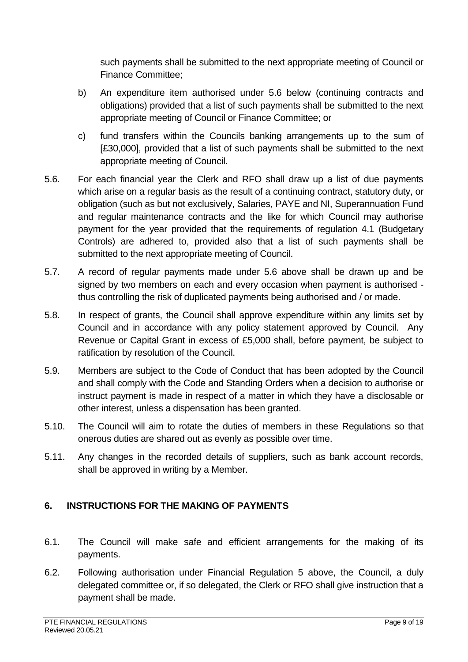such payments shall be submitted to the next appropriate meeting of Council or Finance Committee;

- b) An expenditure item authorised under 5.6 below (continuing contracts and obligations) provided that a list of such payments shall be submitted to the next appropriate meeting of Council or Finance Committee; or
- c) fund transfers within the Councils banking arrangements up to the sum of [£30,000], provided that a list of such payments shall be submitted to the next appropriate meeting of Council.
- 5.6. For each financial year the Clerk and RFO shall draw up a list of due payments which arise on a regular basis as the result of a continuing contract, statutory duty, or obligation (such as but not exclusively, Salaries, PAYE and NI, Superannuation Fund and regular maintenance contracts and the like for which Council may authorise payment for the year provided that the requirements of regulation 4.1 (Budgetary Controls) are adhered to, provided also that a list of such payments shall be submitted to the next appropriate meeting of Council.
- 5.7. A record of regular payments made under 5.6 above shall be drawn up and be signed by two members on each and every occasion when payment is authorised thus controlling the risk of duplicated payments being authorised and / or made.
- 5.8. In respect of grants, the Council shall approve expenditure within any limits set by Council and in accordance with any policy statement approved by Council. Any Revenue or Capital Grant in excess of £5,000 shall, before payment, be subject to ratification by resolution of the Council.
- 5.9. Members are subject to the Code of Conduct that has been adopted by the Council and shall comply with the Code and Standing Orders when a decision to authorise or instruct payment is made in respect of a matter in which they have a disclosable or other interest, unless a dispensation has been granted.
- 5.10. The Council will aim to rotate the duties of members in these Regulations so that onerous duties are shared out as evenly as possible over time.
- 5.11. Any changes in the recorded details of suppliers, such as bank account records, shall be approved in writing by a Member.

## <span id="page-8-0"></span>**6. INSTRUCTIONS FOR THE MAKING OF PAYMENTS**

- 6.1. The Council will make safe and efficient arrangements for the making of its payments.
- 6.2. Following authorisation under Financial Regulation 5 above, the Council, a duly delegated committee or, if so delegated, the Clerk or RFO shall give instruction that a payment shall be made.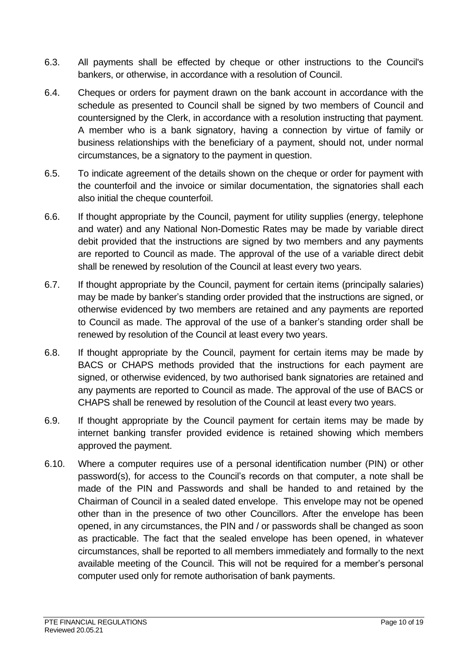- 6.3. All payments shall be effected by cheque or other instructions to the Council's bankers, or otherwise, in accordance with a resolution of Council.
- 6.4. Cheques or orders for payment drawn on the bank account in accordance with the schedule as presented to Council shall be signed by two members of Council and countersigned by the Clerk, in accordance with a resolution instructing that payment. A member who is a bank signatory, having a connection by virtue of family or business relationships with the beneficiary of a payment, should not, under normal circumstances, be a signatory to the payment in question.
- 6.5. To indicate agreement of the details shown on the cheque or order for payment with the counterfoil and the invoice or similar documentation, the signatories shall each also initial the cheque counterfoil.
- 6.6. If thought appropriate by the Council, payment for utility supplies (energy, telephone and water) and any National Non-Domestic Rates may be made by variable direct debit provided that the instructions are signed by two members and any payments are reported to Council as made. The approval of the use of a variable direct debit shall be renewed by resolution of the Council at least every two years.
- 6.7. If thought appropriate by the Council, payment for certain items (principally salaries) may be made by banker's standing order provided that the instructions are signed, or otherwise evidenced by two members are retained and any payments are reported to Council as made. The approval of the use of a banker's standing order shall be renewed by resolution of the Council at least every two years.
- 6.8. If thought appropriate by the Council, payment for certain items may be made by BACS or CHAPS methods provided that the instructions for each payment are signed, or otherwise evidenced, by two authorised bank signatories are retained and any payments are reported to Council as made. The approval of the use of BACS or CHAPS shall be renewed by resolution of the Council at least every two years.
- 6.9. If thought appropriate by the Council payment for certain items may be made by internet banking transfer provided evidence is retained showing which members approved the payment.
- 6.10. Where a computer requires use of a personal identification number (PIN) or other password(s), for access to the Council's records on that computer, a note shall be made of the PIN and Passwords and shall be handed to and retained by the Chairman of Council in a sealed dated envelope. This envelope may not be opened other than in the presence of two other Councillors. After the envelope has been opened, in any circumstances, the PIN and / or passwords shall be changed as soon as practicable. The fact that the sealed envelope has been opened, in whatever circumstances, shall be reported to all members immediately and formally to the next available meeting of the Council. This will not be required for a member's personal computer used only for remote authorisation of bank payments.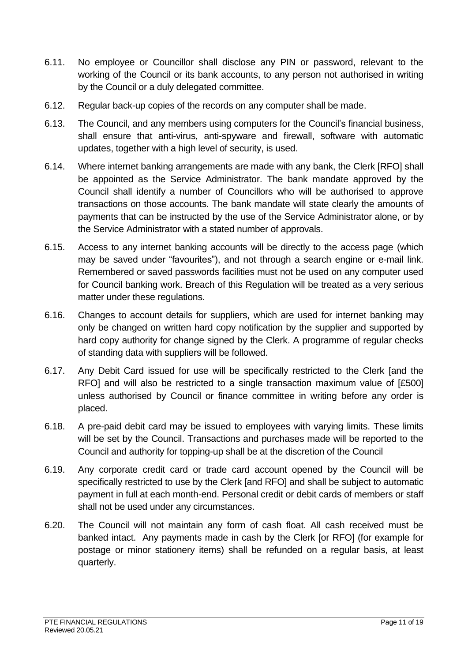- 6.11. No employee or Councillor shall disclose any PIN or password, relevant to the working of the Council or its bank accounts, to any person not authorised in writing by the Council or a duly delegated committee.
- 6.12. Regular back-up copies of the records on any computer shall be made.
- 6.13. The Council, and any members using computers for the Council's financial business, shall ensure that anti-virus, anti-spyware and firewall, software with automatic updates, together with a high level of security, is used.
- 6.14. Where internet banking arrangements are made with any bank, the Clerk [RFO] shall be appointed as the Service Administrator. The bank mandate approved by the Council shall identify a number of Councillors who will be authorised to approve transactions on those accounts. The bank mandate will state clearly the amounts of payments that can be instructed by the use of the Service Administrator alone, or by the Service Administrator with a stated number of approvals.
- 6.15. Access to any internet banking accounts will be directly to the access page (which may be saved under "favourites"), and not through a search engine or e-mail link. Remembered or saved passwords facilities must not be used on any computer used for Council banking work. Breach of this Regulation will be treated as a very serious matter under these regulations.
- 6.16. Changes to account details for suppliers, which are used for internet banking may only be changed on written hard copy notification by the supplier and supported by hard copy authority for change signed by the Clerk. A programme of regular checks of standing data with suppliers will be followed.
- 6.17. Any Debit Card issued for use will be specifically restricted to the Clerk [and the RFO] and will also be restricted to a single transaction maximum value of [£500] unless authorised by Council or finance committee in writing before any order is placed.
- 6.18. A pre-paid debit card may be issued to employees with varying limits. These limits will be set by the Council. Transactions and purchases made will be reported to the Council and authority for topping-up shall be at the discretion of the Council
- 6.19. Any corporate credit card or trade card account opened by the Council will be specifically restricted to use by the Clerk [and RFO] and shall be subject to automatic payment in full at each month-end. Personal credit or debit cards of members or staff shall not be used under any circumstances.
- 6.20. The Council will not maintain any form of cash float. All cash received must be banked intact. Any payments made in cash by the Clerk [or RFO] (for example for postage or minor stationery items) shall be refunded on a regular basis, at least quarterly.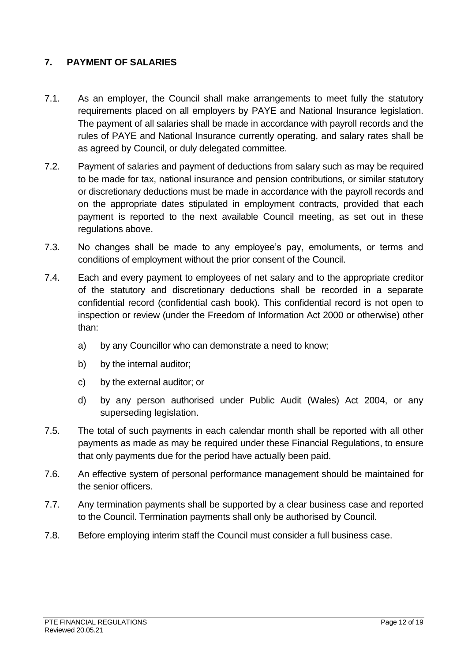## <span id="page-11-0"></span>**7. PAYMENT OF SALARIES**

- 7.1. As an employer, the Council shall make arrangements to meet fully the statutory requirements placed on all employers by PAYE and National Insurance legislation. The payment of all salaries shall be made in accordance with payroll records and the rules of PAYE and National Insurance currently operating, and salary rates shall be as agreed by Council, or duly delegated committee.
- 7.2. Payment of salaries and payment of deductions from salary such as may be required to be made for tax, national insurance and pension contributions, or similar statutory or discretionary deductions must be made in accordance with the payroll records and on the appropriate dates stipulated in employment contracts, provided that each payment is reported to the next available Council meeting, as set out in these regulations above.
- 7.3. No changes shall be made to any employee's pay, emoluments, or terms and conditions of employment without the prior consent of the Council.
- 7.4. Each and every payment to employees of net salary and to the appropriate creditor of the statutory and discretionary deductions shall be recorded in a separate confidential record (confidential cash book). This confidential record is not open to inspection or review (under the Freedom of Information Act 2000 or otherwise) other than:
	- a) by any Councillor who can demonstrate a need to know;
	- b) by the internal auditor;
	- c) by the external auditor; or
	- d) by any person authorised under Public Audit (Wales) Act 2004, or any superseding legislation.
- 7.5. The total of such payments in each calendar month shall be reported with all other payments as made as may be required under these Financial Regulations, to ensure that only payments due for the period have actually been paid.
- 7.6. An effective system of personal performance management should be maintained for the senior officers.
- 7.7. Any termination payments shall be supported by a clear business case and reported to the Council. Termination payments shall only be authorised by Council.
- 7.8. Before employing interim staff the Council must consider a full business case.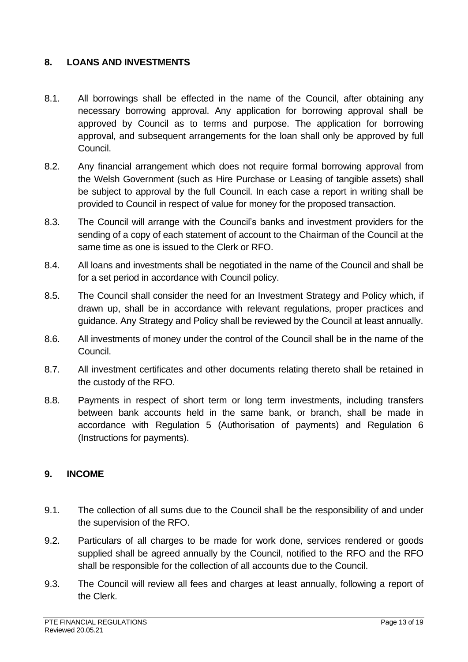#### <span id="page-12-0"></span>**8. LOANS AND INVESTMENTS**

- 8.1. All borrowings shall be effected in the name of the Council, after obtaining any necessary borrowing approval. Any application for borrowing approval shall be approved by Council as to terms and purpose. The application for borrowing approval, and subsequent arrangements for the loan shall only be approved by full Council.
- 8.2. Any financial arrangement which does not require formal borrowing approval from the Welsh Government (such as Hire Purchase or Leasing of tangible assets) shall be subject to approval by the full Council. In each case a report in writing shall be provided to Council in respect of value for money for the proposed transaction.
- 8.3. The Council will arrange with the Council's banks and investment providers for the sending of a copy of each statement of account to the Chairman of the Council at the same time as one is issued to the Clerk or RFO.
- 8.4. All loans and investments shall be negotiated in the name of the Council and shall be for a set period in accordance with Council policy.
- 8.5. The Council shall consider the need for an Investment Strategy and Policy which, if drawn up, shall be in accordance with relevant regulations, proper practices and guidance. Any Strategy and Policy shall be reviewed by the Council at least annually.
- 8.6. All investments of money under the control of the Council shall be in the name of the Council.
- 8.7. All investment certificates and other documents relating thereto shall be retained in the custody of the RFO.
- 8.8. Payments in respect of short term or long term investments, including transfers between bank accounts held in the same bank, or branch, shall be made in accordance with Regulation 5 (Authorisation of payments) and Regulation 6 (Instructions for payments).

#### <span id="page-12-1"></span>**9. INCOME**

- 9.1. The collection of all sums due to the Council shall be the responsibility of and under the supervision of the RFO.
- 9.2. Particulars of all charges to be made for work done, services rendered or goods supplied shall be agreed annually by the Council, notified to the RFO and the RFO shall be responsible for the collection of all accounts due to the Council.
- 9.3. The Council will review all fees and charges at least annually, following a report of the Clerk.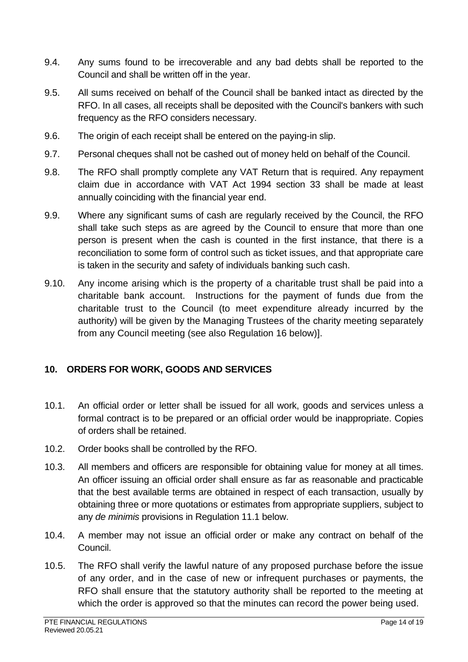- 9.4. Any sums found to be irrecoverable and any bad debts shall be reported to the Council and shall be written off in the year.
- 9.5. All sums received on behalf of the Council shall be banked intact as directed by the RFO. In all cases, all receipts shall be deposited with the Council's bankers with such frequency as the RFO considers necessary.
- 9.6. The origin of each receipt shall be entered on the paying-in slip.
- 9.7. Personal cheques shall not be cashed out of money held on behalf of the Council.
- 9.8. The RFO shall promptly complete any VAT Return that is required. Any repayment claim due in accordance with VAT Act 1994 section 33 shall be made at least annually coinciding with the financial year end.
- 9.9. Where any significant sums of cash are regularly received by the Council, the RFO shall take such steps as are agreed by the Council to ensure that more than one person is present when the cash is counted in the first instance, that there is a reconciliation to some form of control such as ticket issues, and that appropriate care is taken in the security and safety of individuals banking such cash.
- 9.10. Any income arising which is the property of a charitable trust shall be paid into a charitable bank account. Instructions for the payment of funds due from the charitable trust to the Council (to meet expenditure already incurred by the authority) will be given by the Managing Trustees of the charity meeting separately from any Council meeting (see also Regulation 16 below)].

## <span id="page-13-0"></span>**10. ORDERS FOR WORK, GOODS AND SERVICES**

- 10.1. An official order or letter shall be issued for all work, goods and services unless a formal contract is to be prepared or an official order would be inappropriate. Copies of orders shall be retained.
- 10.2. Order books shall be controlled by the RFO.
- 10.3. All members and officers are responsible for obtaining value for money at all times. An officer issuing an official order shall ensure as far as reasonable and practicable that the best available terms are obtained in respect of each transaction, usually by obtaining three or more quotations or estimates from appropriate suppliers, subject to any *de minimis* provisions in Regulation 11.1 below.
- 10.4. A member may not issue an official order or make any contract on behalf of the Council.
- 10.5. The RFO shall verify the lawful nature of any proposed purchase before the issue of any order, and in the case of new or infrequent purchases or payments, the RFO shall ensure that the statutory authority shall be reported to the meeting at which the order is approved so that the minutes can record the power being used.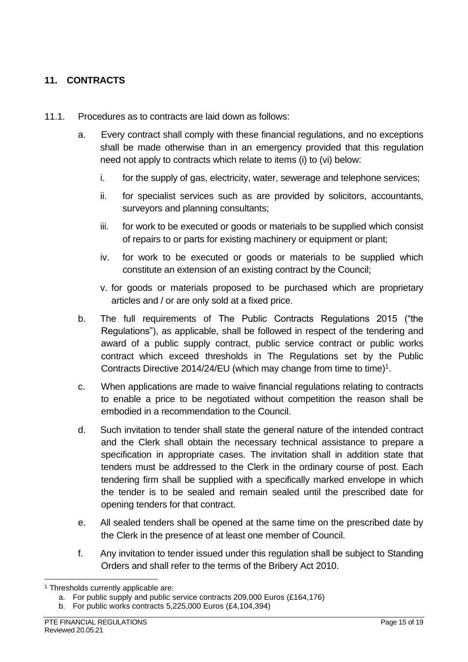## <span id="page-14-0"></span>**11. CONTRACTS**

- 11.1. Procedures as to contracts are laid down as follows:
	- a. Every contract shall comply with these financial regulations, and no exceptions shall be made otherwise than in an emergency provided that this regulation need not apply to contracts which relate to items (i) to (vi) below:
		- i. for the supply of gas, electricity, water, sewerage and telephone services;
		- ii. for specialist services such as are provided by solicitors, accountants, surveyors and planning consultants;
		- iii. for work to be executed or goods or materials to be supplied which consist of repairs to or parts for existing machinery or equipment or plant;
		- iv. for work to be executed or goods or materials to be supplied which constitute an extension of an existing contract by the Council;
		- v. for goods or materials proposed to be purchased which are proprietary articles and / or are only sold at a fixed price.
	- b. The full requirements of The Public Contracts Regulations 2015 ("the Regulations"), as applicable, shall be followed in respect of the tendering and award of a public supply contract, public service contract or public works contract which exceed thresholds in The Regulations set by the Public Contracts Directive 2014/24/EU (which may change from time to time)<sup>1</sup>.
	- c. When applications are made to waive financial regulations relating to contracts to enable a price to be negotiated without competition the reason shall be embodied in a recommendation to the Council.
	- d. Such invitation to tender shall state the general nature of the intended contract and the Clerk shall obtain the necessary technical assistance to prepare a specification in appropriate cases. The invitation shall in addition state that tenders must be addressed to the Clerk in the ordinary course of post. Each tendering firm shall be supplied with a specifically marked envelope in which the tender is to be sealed and remain sealed until the prescribed date for opening tenders for that contract.
	- e. All sealed tenders shall be opened at the same time on the prescribed date by the Clerk in the presence of at least one member of Council.
	- f. Any invitation to tender issued under this regulation shall be subject to Standing Orders and shall refer to the terms of the Bribery Act 2010.

<sup>&</sup>lt;sup>1</sup> Thresholds currently applicable are:

a. For public supply and public service contracts 209,000 Euros (£164,176)

b. For public works contracts 5,225,000 Euros (£4,104,394)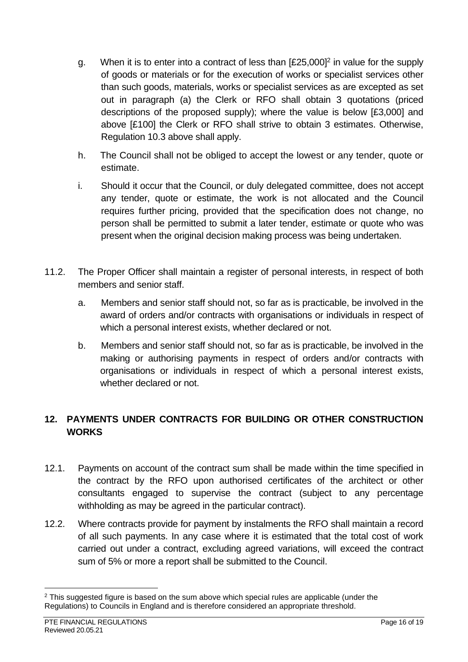- g. When it is to enter into a contract of less than  $[£25,000]<sup>2</sup>$  in value for the supply of goods or materials or for the execution of works or specialist services other than such goods, materials, works or specialist services as are excepted as set out in paragraph (a) the Clerk or RFO shall obtain 3 quotations (priced descriptions of the proposed supply); where the value is below [£3,000] and above [£100] the Clerk or RFO shall strive to obtain 3 estimates. Otherwise, Regulation 10.3 above shall apply.
- h. The Council shall not be obliged to accept the lowest or any tender, quote or estimate.
- i. Should it occur that the Council, or duly delegated committee, does not accept any tender, quote or estimate, the work is not allocated and the Council requires further pricing, provided that the specification does not change, no person shall be permitted to submit a later tender, estimate or quote who was present when the original decision making process was being undertaken.
- 11.2. The Proper Officer shall maintain a register of personal interests, in respect of both members and senior staff.
	- a. Members and senior staff should not, so far as is practicable, be involved in the award of orders and/or contracts with organisations or individuals in respect of which a personal interest exists, whether declared or not.
	- b. Members and senior staff should not, so far as is practicable, be involved in the making or authorising payments in respect of orders and/or contracts with organisations or individuals in respect of which a personal interest exists, whether declared or not.

## <span id="page-15-0"></span>**12. PAYMENTS UNDER CONTRACTS FOR BUILDING OR OTHER CONSTRUCTION WORKS**

- 12.1. Payments on account of the contract sum shall be made within the time specified in the contract by the RFO upon authorised certificates of the architect or other consultants engaged to supervise the contract (subject to any percentage withholding as may be agreed in the particular contract).
- 12.2. Where contracts provide for payment by instalments the RFO shall maintain a record of all such payments. In any case where it is estimated that the total cost of work carried out under a contract, excluding agreed variations, will exceed the contract sum of 5% or more a report shall be submitted to the Council.

<sup>&</sup>lt;sup>2</sup> This suggested figure is based on the sum above which special rules are applicable (under the Regulations) to Councils in England and is therefore considered an appropriate threshold.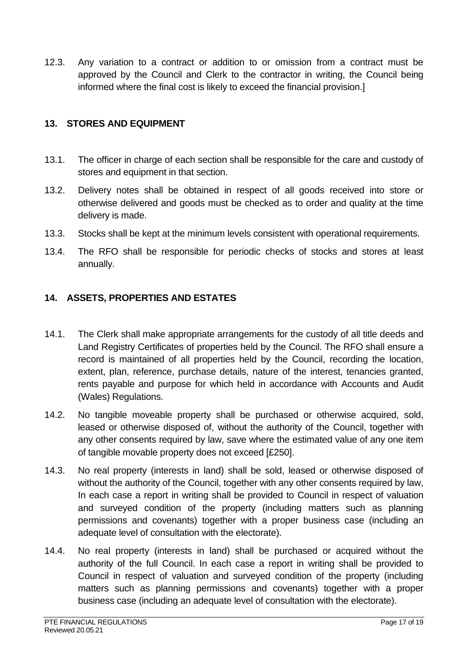12.3. Any variation to a contract or addition to or omission from a contract must be approved by the Council and Clerk to the contractor in writing, the Council being informed where the final cost is likely to exceed the financial provision.]

#### <span id="page-16-0"></span>**13. STORES AND EQUIPMENT**

- 13.1. The officer in charge of each section shall be responsible for the care and custody of stores and equipment in that section.
- 13.2. Delivery notes shall be obtained in respect of all goods received into store or otherwise delivered and goods must be checked as to order and quality at the time delivery is made.
- 13.3. Stocks shall be kept at the minimum levels consistent with operational requirements.
- 13.4. The RFO shall be responsible for periodic checks of stocks and stores at least annually.

## <span id="page-16-1"></span>**14. ASSETS, PROPERTIES AND ESTATES**

- 14.1. The Clerk shall make appropriate arrangements for the custody of all title deeds and Land Registry Certificates of properties held by the Council. The RFO shall ensure a record is maintained of all properties held by the Council, recording the location, extent, plan, reference, purchase details, nature of the interest, tenancies granted, rents payable and purpose for which held in accordance with Accounts and Audit (Wales) Regulations.
- 14.2. No tangible moveable property shall be purchased or otherwise acquired, sold, leased or otherwise disposed of, without the authority of the Council, together with any other consents required by law, save where the estimated value of any one item of tangible movable property does not exceed [£250].
- 14.3. No real property (interests in land) shall be sold, leased or otherwise disposed of without the authority of the Council, together with any other consents required by law, In each case a report in writing shall be provided to Council in respect of valuation and surveyed condition of the property (including matters such as planning permissions and covenants) together with a proper business case (including an adequate level of consultation with the electorate).
- 14.4. No real property (interests in land) shall be purchased or acquired without the authority of the full Council. In each case a report in writing shall be provided to Council in respect of valuation and surveyed condition of the property (including matters such as planning permissions and covenants) together with a proper business case (including an adequate level of consultation with the electorate).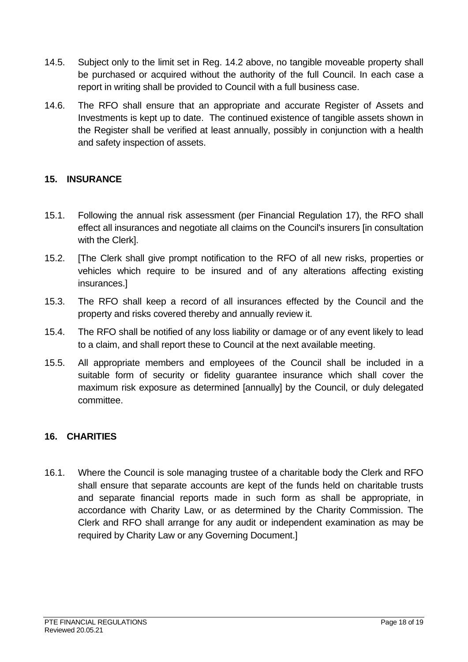- 14.5. Subject only to the limit set in Reg. 14.2 above, no tangible moveable property shall be purchased or acquired without the authority of the full Council. In each case a report in writing shall be provided to Council with a full business case.
- 14.6. The RFO shall ensure that an appropriate and accurate Register of Assets and Investments is kept up to date. The continued existence of tangible assets shown in the Register shall be verified at least annually, possibly in conjunction with a health and safety inspection of assets.

#### <span id="page-17-0"></span>**15. INSURANCE**

- 15.1. Following the annual risk assessment (per Financial Regulation 17), the RFO shall effect all insurances and negotiate all claims on the Council's insurers [in consultation with the Clerk].
- 15.2. [The Clerk shall give prompt notification to the RFO of all new risks, properties or vehicles which require to be insured and of any alterations affecting existing insurances.]
- 15.3. The RFO shall keep a record of all insurances effected by the Council and the property and risks covered thereby and annually review it.
- 15.4. The RFO shall be notified of any loss liability or damage or of any event likely to lead to a claim, and shall report these to Council at the next available meeting.
- 15.5. All appropriate members and employees of the Council shall be included in a suitable form of security or fidelity guarantee insurance which shall cover the maximum risk exposure as determined [annually] by the Council, or duly delegated committee.

## <span id="page-17-1"></span>**16. CHARITIES**

16.1. Where the Council is sole managing trustee of a charitable body the Clerk and RFO shall ensure that separate accounts are kept of the funds held on charitable trusts and separate financial reports made in such form as shall be appropriate, in accordance with Charity Law, or as determined by the Charity Commission. The Clerk and RFO shall arrange for any audit or independent examination as may be required by Charity Law or any Governing Document.]